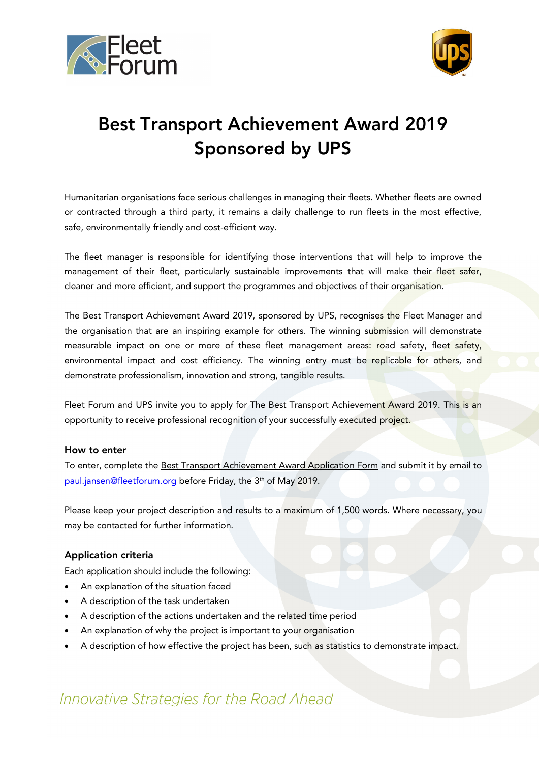



# Best Transport Achievement Award 2019 Sponsored by UPS

Humanitarian organisations face serious challenges in managing their fleets. Whether fleets are owned or contracted through a third party, it remains a daily challenge to run fleets in the most effective, safe, environmentally friendly and cost-efficient way.

The fleet manager is responsible for identifying those interventions that will help to improve the management of their fleet, particularly sustainable improvements that will make their fleet safer, cleaner and more efficient, and support the programmes and objectives of their organisation.

The Best Transport Achievement Award 2019, sponsored by UPS, recognises the Fleet Manager and the organisation that are an inspiring example for others. The winning submission will demonstrate measurable impact on one or more of these fleet management areas: road safety, fleet safety, environmental impact and cost efficiency. The winning entry must be replicable for others, and demonstrate professionalism, innovation and strong, tangible results.

Fleet Forum and UPS invite you to apply for The Best Transport Achievement Award 2019. This is an opportunity to receive professional recognition of your successfully executed project.

#### How to enter

To enter, complete the Best Transport Achievement Award Application Form and submit it by email to paul.jansen@fleetforum.org before Friday, the 3<sup>th</sup> of May 2019.

Please keep your project description and results to a maximum of 1,500 words. Where necessary, you may be contacted for further information.

#### Application criteria

Each application should include the following:

- An explanation of the situation faced
- A description of the task undertaken
- A description of the actions undertaken and the related time period
- An explanation of why the project is important to your organisation
- A description of how effective the project has been, such as statistics to demonstrate impact.

## Innovative Strategies for the Road Ahead